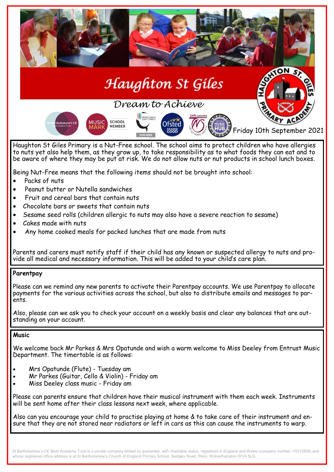

# Haughton St Gíles

# *Dream to Achieve*



Haughton St Giles Primary is a Nut-Free school. The school aims to protect children who have allergies to nuts yet also help them, as they grow up, to take responsibility as to what foods they can eat and to be aware of where they may be put at risk. We do not allow nuts or nut products in school lunch boxes.

Being Nut-Free means that the following items should not be brought into school:

- Packs of nuts
- Peanut butter or Nutella sandwiches
- Fruit and cereal bars that contain nuts
- Chocolate bars or sweets that contain nuts
- Sesame seed rolls (children allergic to nuts may also have a severe reaction to sesame)
- Cakes made with nuts
- Any home cooked meals for packed lunches that are made from nuts

Parents and carers must notify staff if their child has any known or suspected allergy to nuts and provide all medical and necessary information. This will be added to your child's care plan.

# **Parentpay**

Please can we remind any new parents to activate their Parentpay accounts. We use Parentpay to allocate payments for the various activities across the school, but also to distribute emails and messages to parents.

Also, please can we ask you to check your account on a weekly basis and clear any balances that are outstanding on your account.

# **Music**

We welcome back Mr Parkes & Mrs Opatunde and wish a warm welcome to Miss Deeley from Entrust Music Department. The timertable is as follows:

- Mrs Opatunde (Flute) Tuesday am
- Mr Parkes (Guitar, Cello & Violin) Friday am
- Miss Deeley class music Friday am

Please can parents ensure that children have their musical instrument with them each week. Instruments will be sent home after their class lessons next week, where applicable.

Also can you encourage your child to practise playing at home & to take care of their instrument and ensure that they are not stored near radiators or left in cars as this can cause the instruments to warp.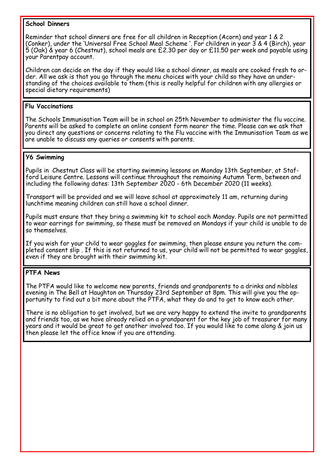#### **School Dinners**

Reminder that school dinners are free for all children in Reception (Acorn) and year 1 & 2 (Conker), under the 'Universal Free School Meal Scheme '. For children in year 3 & 4 (Birch), year 5 (Oak) & year 6 (Chestnut), school meals are £2.30 per day or £11.50 per week and payable using your Parentpay account.

Children can decide on the day if they would like a school dinner, as meals are cooked fresh to order. All we ask is that you go through the menu choices with your child so they have an understanding of the choices available to them (this is really helpful for children with any allergies or special dietary requirements)

#### **Flu Vaccinations**

The Schools Immunisation Team will be in school on 25th November to administer the flu vaccine. Parents will be asked to complete an online consent form nearer the time. Please can we ask that you direct any questions or concerns relating to the Flu vaccine with the Immunisation Team as we are unable to discuss any queries or consents with parents.

#### **Y6 Swimming**

Pupils in Chestnut Class will be starting swimming lessons on Monday 13th September, at Stafford Leisure Centre. Lessons will continue throughout the remaining Autumn Term, between and including the following dates: 13th September 2020 - 6th December 2020 (11 weeks).

Transport will be provided and we will leave school at approximately 11 am, returning during lunchtime meaning children can still have a school dinner.

Pupils must ensure that they bring a swimming kit to school each Monday. Pupils are not permitted to wear earrings for swimming, so these must be removed on Mondays if your child is unable to do so themselves.

If you wish for your child to wear goggles for swimming, then please ensure you return the completed consent slip . If this is not returned to us, your child will not be permitted to wear goggles, even if they are brought with their swimming kit.

# **PTFA News**

The PTFA would like to welcome new parents, friends and grandparents to a drinks and nibbles evening in The Bell at Haughton on Thursday 23rd September at 8pm. This will give you the opportunity to find out a bit more about the PTFA, what they do and to get to know each other.

There is no obligation to get involved, but we are very happy to extend the invite to grandparents and friends too, as we have already relied on a grandparent for the key job of treasurer for many years and it would be great to get another involved too. If you would like to come along & join us then please let the office know if you are attending.